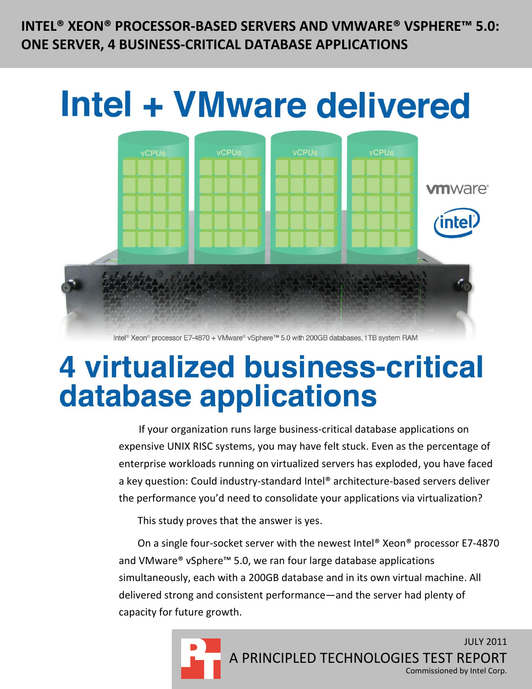**INTEL® XEON® PROCESSOR-BASED SERVERS AND VMWARE® VSPHERE™ 5.0: ONE SERVER, 4 BUSINESS-CRITICAL DATABASE APPLICATIONS**



Intel® Xeon® processor E7-4870 + VMware® vSphere™ 5.0 with 200GB databases, 1TB system RAM

# **4 virtualized business-critical** database applications

If your organization runs large business-critical database applications on expensive UNIX RISC systems, you may have felt stuck. Even as the percentage of enterprise workloads running on virtualized servers has exploded, you have faced a key question: Could industry-standard Intel® architecture-based servers deliver the performance you'd need to consolidate your applications via virtualization?

This study proves that the answer is yes.

On a single four-socket server with the newest Intel® Xeon® processor E7-4870 and VMware® vSphere™ 5.0, we ran four large database applications simultaneously, each with a 200GB database and in its own virtual machine. All delivered strong and consistent performance—and the server had plenty of capacity for future growth.

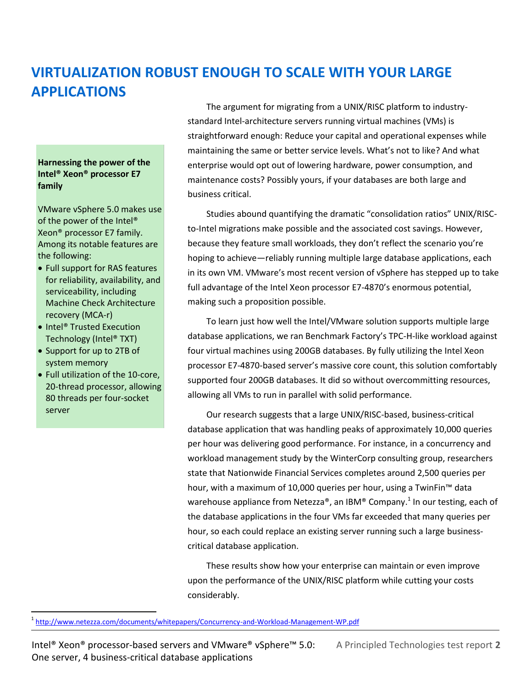# **VIRTUALIZATION ROBUST ENOUGH TO SCALE WITH YOUR LARGE APPLICATIONS**

#### **Harnessing the power of the Intel® Xeon® processor E7 family**

VMware vSphere 5.0 makes use of the power of the Intel® Xeon® processor E7 family. Among its notable features are the following:

- Full support for RAS features for reliability, availability, and serviceability, including Machine Check Architecture recovery (MCA-r)
- Intel<sup>®</sup> Trusted Execution Technology (Intel® TXT)
- Support for up to 2TB of system memory

 $\overline{a}$ 

 Full utilization of the 10-core, 20-thread processor, allowing 80 threads per four-socket server

The argument for migrating from a UNIX/RISC platform to industrystandard Intel-architecture servers running virtual machines (VMs) is straightforward enough: Reduce your capital and operational expenses while maintaining the same or better service levels. What's not to like? And what enterprise would opt out of lowering hardware, power consumption, and maintenance costs? Possibly yours, if your databases are both large and business critical.

Studies abound quantifying the dramatic "consolidation ratios" UNIX/RISCto-Intel migrations make possible and the associated cost savings. However, because they feature small workloads, they don't reflect the scenario you're hoping to achieve—reliably running multiple large database applications, each in its own VM. VMware's most recent version of vSphere has stepped up to take full advantage of the Intel Xeon processor E7-4870's enormous potential, making such a proposition possible.

To learn just how well the Intel/VMware solution supports multiple large database applications, we ran Benchmark Factory's TPC-H-like workload against four virtual machines using 200GB databases. By fully utilizing the Intel Xeon processor E7-4870-based server's massive core count, this solution comfortably supported four 200GB databases. It did so without overcommitting resources, allowing all VMs to run in parallel with solid performance.

Our research suggests that a large UNIX/RISC-based, business-critical database application that was handling peaks of approximately 10,000 queries per hour was delivering good performance. For instance, in a concurrency and workload management study by the WinterCorp consulting group, researchers state that Nationwide Financial Services completes around 2,500 queries per hour, with a maximum of 10,000 queries per hour, using a TwinFin<sup>™</sup> data warehouse appliance from Netezza®, an IBM® Company.<sup>1</sup> In our testing, each of the database applications in the four VMs far exceeded that many queries per hour, so each could replace an existing server running such a large businesscritical database application.

These results show how your enterprise can maintain or even improve upon the performance of the UNIX/RISC platform while cutting your costs considerably.

<sup>&</sup>lt;sup>1</sup> <http://www.netezza.com/documents/whitepapers/Concurrency-and-Workload-Management-WP.pdf>

Intel® Xeon® processor-based servers and VMware® vSphere™ 5.0: A Principled Technologies test report **2** One server, 4 business-critical database applications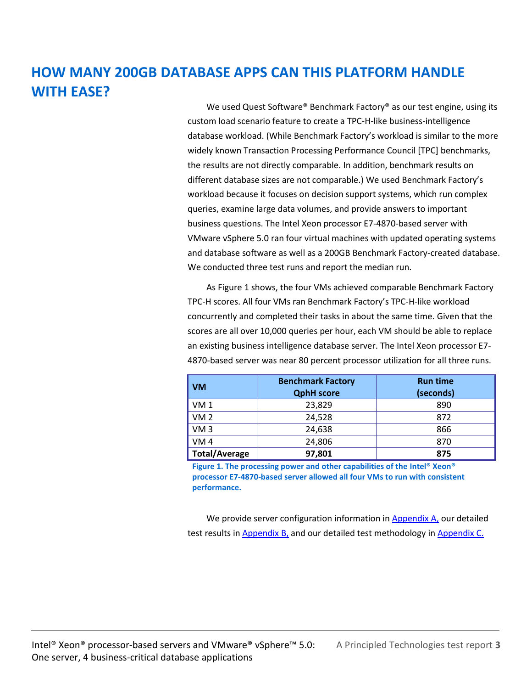# **HOW MANY 200GB DATABASE APPS CAN THIS PLATFORM HANDLE WITH EASE?**

We used Quest Software® Benchmark Factory® as our test engine, using its custom load scenario feature to create a TPC-H-like business-intelligence database workload. (While Benchmark Factory's workload is similar to the more widely known Transaction Processing Performance Council [TPC] benchmarks, the results are not directly comparable. In addition, benchmark results on different database sizes are not comparable.) We used Benchmark Factory's workload because it focuses on decision support systems, which run complex queries, examine large data volumes, and provide answers to important business questions. The Intel Xeon processor E7-4870-based server with VMware vSphere 5.0 ran four virtual machines with updated operating systems and database software as well as a 200GB Benchmark Factory-created database. We conducted three test runs and report the median run.

As Figure 1 shows, the four VMs achieved comparable Benchmark Factory TPC-H scores. All four VMs ran Benchmark Factory's TPC-H-like workload concurrently and completed their tasks in about the same time. Given that the scores are all over 10,000 queries per hour, each VM should be able to replace an existing business intelligence database server. The Intel Xeon processor E7- 4870-based server was near 80 percent processor utilization for all three runs.

| <b>VM</b>            | <b>Benchmark Factory</b><br><b>QphH</b> score | <b>Run time</b><br>(seconds) |  |
|----------------------|-----------------------------------------------|------------------------------|--|
| VM <sub>1</sub>      | 23,829                                        | 890                          |  |
| VM <sub>2</sub>      | 24,528                                        | 872                          |  |
| VM3                  | 24,638                                        | 866                          |  |
| VM <sub>4</sub>      | 24,806                                        | 870                          |  |
| <b>Total/Average</b> | 97,801                                        | 875                          |  |

**Figure 1. The processing power and other capabilities of the Intel® Xeon® processor E7-4870-based server allowed all four VMs to run with consistent performance.**

We provide server configuration information in [Appendix A,](#page-4-0) our detailed test results in [Appendix B,](#page-6-0) and our detailed test methodology in [Appendix C.](#page-7-0)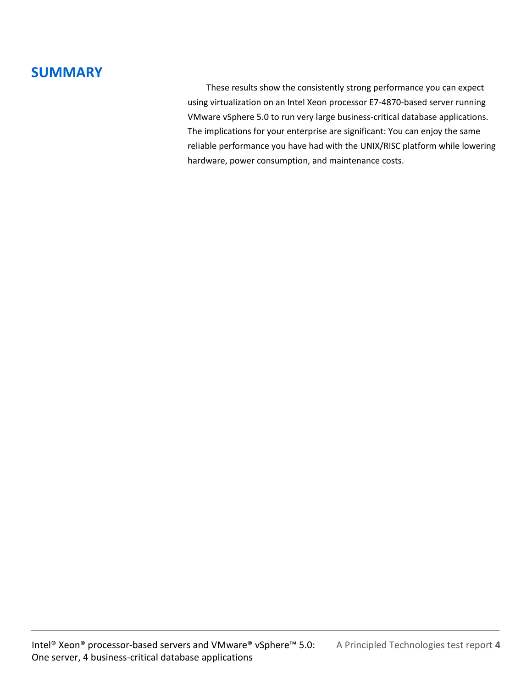## **SUMMARY**

These results show the consistently strong performance you can expect using virtualization on an Intel Xeon processor E7-4870-based server running VMware vSphere 5.0 to run very large business-critical database applications. The implications for your enterprise are significant: You can enjoy the same reliable performance you have had with the UNIX/RISC platform while lowering hardware, power consumption, and maintenance costs.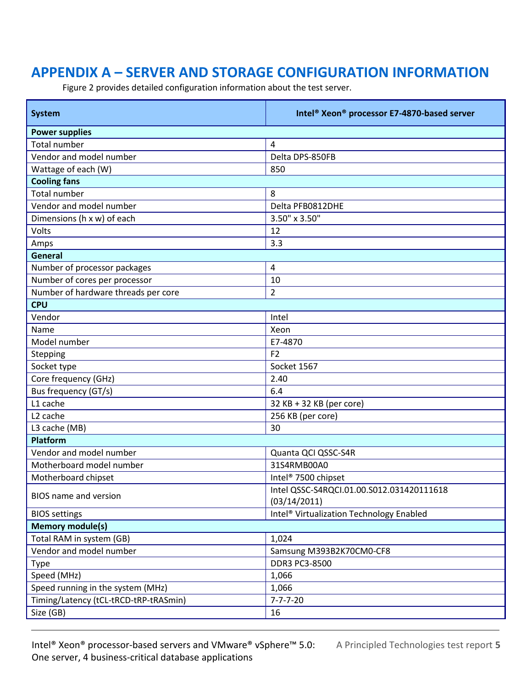# <span id="page-4-0"></span>**APPENDIX A – SERVER AND STORAGE CONFIGURATION INFORMATION**

Figure 2 provides detailed configuration information about the test server.

| <b>System</b>                         | Intel <sup>®</sup> Xeon <sup>®</sup> processor E7-4870-based server |  |  |  |  |
|---------------------------------------|---------------------------------------------------------------------|--|--|--|--|
| <b>Power supplies</b>                 |                                                                     |  |  |  |  |
| <b>Total number</b>                   | 4                                                                   |  |  |  |  |
| Vendor and model number               | Delta DPS-850FB                                                     |  |  |  |  |
| Wattage of each (W)                   | 850                                                                 |  |  |  |  |
| <b>Cooling fans</b>                   |                                                                     |  |  |  |  |
| <b>Total number</b>                   | 8                                                                   |  |  |  |  |
| Vendor and model number               | Delta PFB0812DHE                                                    |  |  |  |  |
| Dimensions (h x w) of each            | 3.50" x 3.50"                                                       |  |  |  |  |
| Volts                                 | 12                                                                  |  |  |  |  |
| Amps                                  | 3.3                                                                 |  |  |  |  |
| General                               |                                                                     |  |  |  |  |
| Number of processor packages          | 4                                                                   |  |  |  |  |
| Number of cores per processor         | 10                                                                  |  |  |  |  |
| Number of hardware threads per core   | $\overline{c}$                                                      |  |  |  |  |
| <b>CPU</b>                            |                                                                     |  |  |  |  |
| Vendor                                | Intel                                                               |  |  |  |  |
| Name                                  | Xeon                                                                |  |  |  |  |
| Model number                          | E7-4870                                                             |  |  |  |  |
| Stepping                              | F <sub>2</sub>                                                      |  |  |  |  |
| Socket type                           | Socket 1567                                                         |  |  |  |  |
| Core frequency (GHz)                  | 2.40                                                                |  |  |  |  |
| Bus frequency (GT/s)                  | 6.4                                                                 |  |  |  |  |
| L1 cache                              | 32 KB + 32 KB (per core)                                            |  |  |  |  |
| L <sub>2</sub> cache                  | 256 KB (per core)                                                   |  |  |  |  |
| L3 cache (MB)                         | 30                                                                  |  |  |  |  |
| Platform                              |                                                                     |  |  |  |  |
| Vendor and model number               | Quanta QCI QSSC-S4R                                                 |  |  |  |  |
| Motherboard model number              | 31S4RMB00A0                                                         |  |  |  |  |
| Motherboard chipset                   | Intel <sup>®</sup> 7500 chipset                                     |  |  |  |  |
| BIOS name and version                 | Intel QSSC-S4RQCI.01.00.S012.031420111618<br>(03/14/2011)           |  |  |  |  |
| <b>BIOS</b> settings                  | Intel <sup>®</sup> Virtualization Technology Enabled                |  |  |  |  |
| <b>Memory module(s)</b>               |                                                                     |  |  |  |  |
| Total RAM in system (GB)              | 1,024                                                               |  |  |  |  |
| Vendor and model number               | Samsung M393B2K70CM0-CF8                                            |  |  |  |  |
| <b>Type</b>                           | DDR3 PC3-8500                                                       |  |  |  |  |
| Speed (MHz)                           | 1,066                                                               |  |  |  |  |
| Speed running in the system (MHz)     | 1,066                                                               |  |  |  |  |
| Timing/Latency (tCL-tRCD-tRP-tRASmin) | $7 - 7 - 7 - 20$                                                    |  |  |  |  |
| Size (GB)                             | 16                                                                  |  |  |  |  |

Intel® Xeon® processor-based servers and VMware® vSphere™ 5.0: A Principled Technologies test report **5** One server, 4 business-critical database applications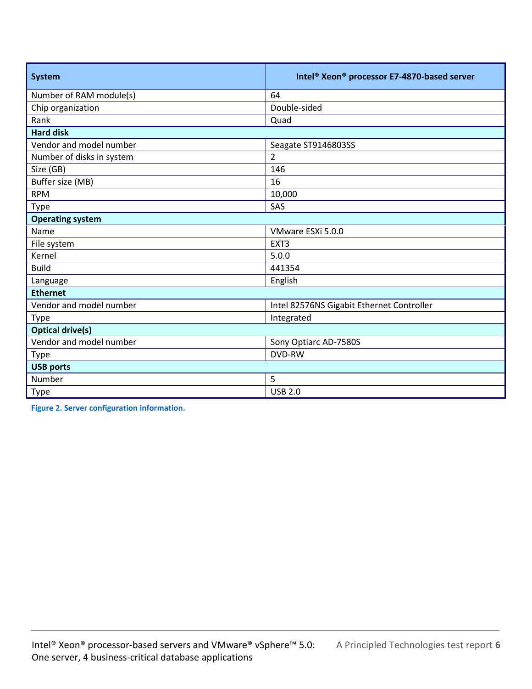| <b>System</b>             | Intel <sup>®</sup> Xeon <sup>®</sup> processor E7-4870-based server |  |  |  |  |
|---------------------------|---------------------------------------------------------------------|--|--|--|--|
| Number of RAM module(s)   | 64                                                                  |  |  |  |  |
| Chip organization         | Double-sided                                                        |  |  |  |  |
| Rank                      | Quad                                                                |  |  |  |  |
| <b>Hard disk</b>          |                                                                     |  |  |  |  |
| Vendor and model number   | Seagate ST9146803SS                                                 |  |  |  |  |
| Number of disks in system | $\overline{2}$                                                      |  |  |  |  |
| Size (GB)                 | 146                                                                 |  |  |  |  |
| Buffer size (MB)          | 16                                                                  |  |  |  |  |
| <b>RPM</b>                | 10,000                                                              |  |  |  |  |
| <b>Type</b>               | SAS                                                                 |  |  |  |  |
| <b>Operating system</b>   |                                                                     |  |  |  |  |
| Name                      | VMware ESXi 5.0.0                                                   |  |  |  |  |
| File system               | EXT <sub>3</sub>                                                    |  |  |  |  |
| Kernel                    | 5.0.0                                                               |  |  |  |  |
| <b>Build</b>              | 441354                                                              |  |  |  |  |
| Language                  | English                                                             |  |  |  |  |
| <b>Ethernet</b>           |                                                                     |  |  |  |  |
| Vendor and model number   | Intel 82576NS Gigabit Ethernet Controller                           |  |  |  |  |
| Type                      | Integrated                                                          |  |  |  |  |
| <b>Optical drive(s)</b>   |                                                                     |  |  |  |  |
| Vendor and model number   | Sony Optiarc AD-7580S                                               |  |  |  |  |
| Type                      | <b>DVD-RW</b>                                                       |  |  |  |  |
| <b>USB ports</b>          |                                                                     |  |  |  |  |
| Number                    | 5                                                                   |  |  |  |  |
| <b>Type</b>               | <b>USB 2.0</b>                                                      |  |  |  |  |

**Figure 2. Server configuration information.**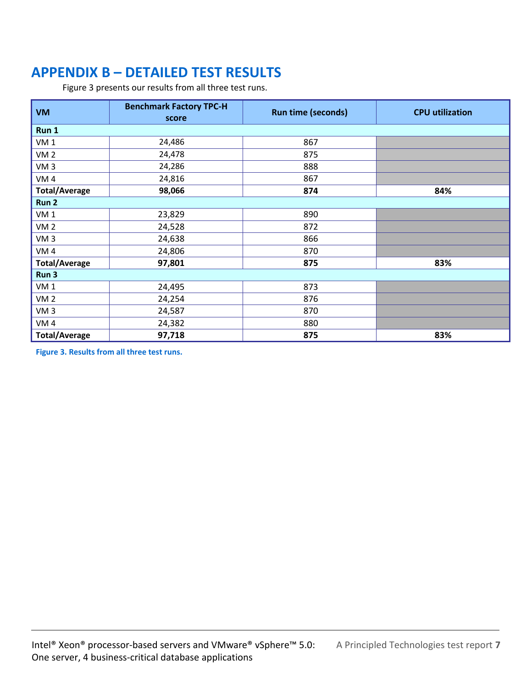# <span id="page-6-0"></span>**APPENDIX B – DETAILED TEST RESULTS**

Figure 3 presents our results from all three test runs.

| <b>VM</b>            | <b>Benchmark Factory TPC-H</b><br>score | <b>Run time (seconds)</b> | <b>CPU</b> utilization |  |  |
|----------------------|-----------------------------------------|---------------------------|------------------------|--|--|
| Run 1                |                                         |                           |                        |  |  |
| VM <sub>1</sub>      | 24,486                                  | 867                       |                        |  |  |
| VM <sub>2</sub>      | 24,478                                  | 875                       |                        |  |  |
| VM <sub>3</sub>      | 24,286                                  | 888                       |                        |  |  |
| VM <sub>4</sub>      | 24,816                                  | 867                       |                        |  |  |
| <b>Total/Average</b> | 98,066                                  | 874                       | 84%                    |  |  |
| Run <sub>2</sub>     |                                         |                           |                        |  |  |
| VM <sub>1</sub>      | 23,829                                  | 890                       |                        |  |  |
| VM <sub>2</sub>      | 24,528                                  | 872                       |                        |  |  |
| VM <sub>3</sub>      | 24,638                                  | 866                       |                        |  |  |
| VM4                  | 24,806                                  | 870                       |                        |  |  |
| <b>Total/Average</b> | 97,801                                  | 875                       | 83%                    |  |  |
| Run 3                |                                         |                           |                        |  |  |
| VM <sub>1</sub>      | 24,495                                  | 873                       |                        |  |  |
| VM <sub>2</sub>      | 24,254                                  | 876                       |                        |  |  |
| VM <sub>3</sub>      | 24,587                                  | 870                       |                        |  |  |
| VM4                  | 24,382                                  | 880                       |                        |  |  |
| <b>Total/Average</b> | 97,718                                  | 875                       | 83%                    |  |  |

**Figure 3. Results from all three test runs.**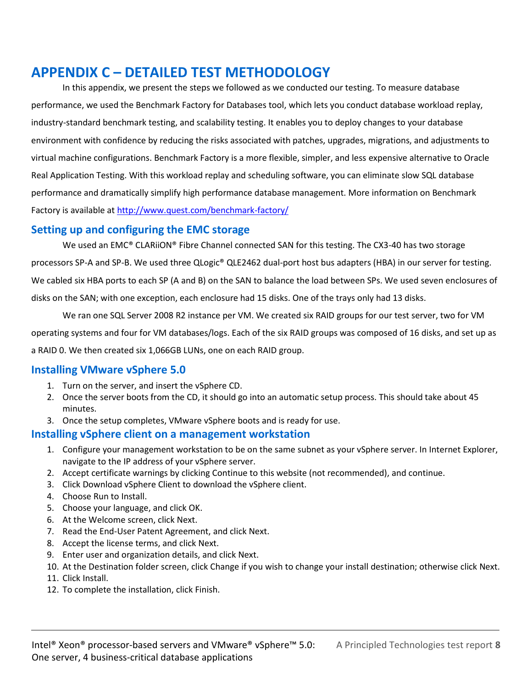## <span id="page-7-0"></span>**APPENDIX C – DETAILED TEST METHODOLOGY**

In this appendix, we present the steps we followed as we conducted our testing. To measure database performance, we used the Benchmark Factory for Databases tool, which lets you conduct database workload replay, industry-standard benchmark testing, and scalability testing. It enables you to deploy changes to your database environment with confidence by reducing the risks associated with patches, upgrades, migrations, and adjustments to virtual machine configurations. Benchmark Factory is a more flexible, simpler, and less expensive alternative to Oracle Real Application Testing. With this workload replay and scheduling software, you can eliminate slow SQL database performance and dramatically simplify high performance database management. More information on Benchmark Factory is available a[t http://www.quest.com/benchmark-factory/](http://www.quest.com/benchmark-factory/)

### **Setting up and configuring the EMC storage**

We used an EMC® CLARiiON® Fibre Channel connected SAN for this testing. The CX3-40 has two storage processors SP-A and SP-B. We used three QLogic® QLE2462 dual-port host bus adapters (HBA) in our server for testing. We cabled six HBA ports to each SP (A and B) on the SAN to balance the load between SPs. We used seven enclosures of disks on the SAN; with one exception, each enclosure had 15 disks. One of the trays only had 13 disks.

We ran one SQL Server 2008 R2 instance per VM. We created six RAID groups for our test server, two for VM operating systems and four for VM databases/logs. Each of the six RAID groups was composed of 16 disks, and set up as a RAID 0. We then created six 1,066GB LUNs, one on each RAID group.

### **Installing VMware vSphere 5.0**

- 1. Turn on the server, and insert the vSphere CD.
- 2. Once the server boots from the CD, it should go into an automatic setup process. This should take about 45 minutes.
- 3. Once the setup completes, VMware vSphere boots and is ready for use.

### **Installing vSphere client on a management workstation**

- 1. Configure your management workstation to be on the same subnet as your vSphere server. In Internet Explorer, navigate to the IP address of your vSphere server.
- 2. Accept certificate warnings by clicking Continue to this website (not recommended), and continue.
- 3. Click Download vSphere Client to download the vSphere client.
- 4. Choose Run to Install.
- 5. Choose your language, and click OK.
- 6. At the Welcome screen, click Next.
- 7. Read the End-User Patent Agreement, and click Next.
- 8. Accept the license terms, and click Next.
- 9. Enter user and organization details, and click Next.
- 10. At the Destination folder screen, click Change if you wish to change your install destination; otherwise click Next.
- 11. Click Install.
- 12. To complete the installation, click Finish.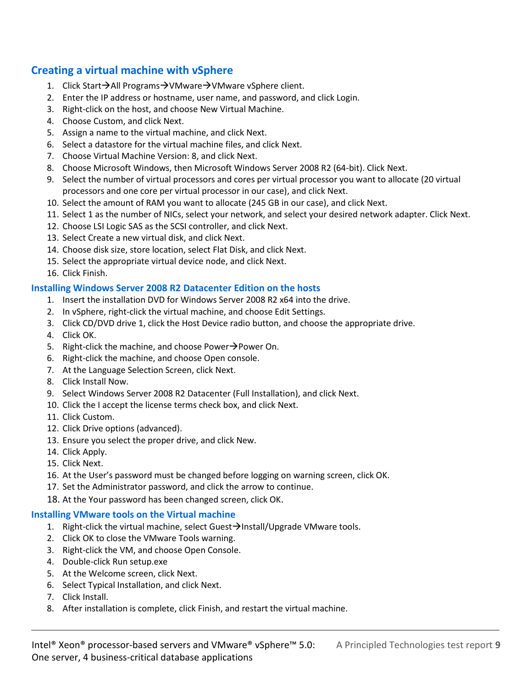### **Creating a virtual machine with vSphere**

- 1. Click Start→All Programs→VMware→VMware vSphere client.
- 2. Enter the IP address or hostname, user name, and password, and click Login.
- 3. Right-click on the host, and choose New Virtual Machine.
- 4. Choose Custom, and click Next.
- 5. Assign a name to the virtual machine, and click Next.
- 6. Select a datastore for the virtual machine files, and click Next.
- 7. Choose Virtual Machine Version: 8, and click Next.
- 8. Choose Microsoft Windows, then Microsoft Windows Server 2008 R2 (64-bit). Click Next.
- 9. Select the number of virtual processors and cores per virtual processor you want to allocate (20 virtual processors and one core per virtual processor in our case), and click Next.
- 10. Select the amount of RAM you want to allocate (245 GB in our case), and click Next.
- 11. Select 1 as the number of NICs, select your network, and select your desired network adapter. Click Next.
- 12. Choose LSI Logic SAS as the SCSI controller, and click Next.
- 13. Select Create a new virtual disk, and click Next.
- 14. Choose disk size, store location, select Flat Disk, and click Next.
- 15. Select the appropriate virtual device node, and click Next.
- 16. Click Finish.

#### **Installing Windows Server 2008 R2 Datacenter Edition on the hosts**

- 1. Insert the installation DVD for Windows Server 2008 R2 x64 into the drive.
- 2. In vSphere, right-click the virtual machine, and choose Edit Settings.
- 3. Click CD/DVD drive 1, click the Host Device radio button, and choose the appropriate drive.
- 4. Click OK.
- 5. Right-click the machine, and choose Power $\rightarrow$ Power On.
- 6. Right-click the machine, and choose Open console.
- 7. At the Language Selection Screen, click Next.
- 8. Click Install Now.
- 9. Select Windows Server 2008 R2 Datacenter (Full Installation), and click Next.
- 10. Click the I accept the license terms check box, and click Next.
- 11. Click Custom.
- 12. Click Drive options (advanced).
- 13. Ensure you select the proper drive, and click New.
- 14. Click Apply.
- 15. Click Next.
- 16. At the User's password must be changed before logging on warning screen, click OK.
- 17. Set the Administrator password, and click the arrow to continue.
- 18. At the Your password has been changed screen, click OK.

### **Installing VMware tools on the Virtual machine**

- 1. Right-click the virtual machine, select Guest $\rightarrow$ Install/Upgrade VMware tools.
- 2. Click OK to close the VMware Tools warning.
- 3. Right-click the VM, and choose Open Console.
- 4. Double-click Run setup.exe
- 5. At the Welcome screen, click Next.
- 6. Select Typical Installation, and click Next.
- 7. Click Install.
- 8. After installation is complete, click Finish, and restart the virtual machine.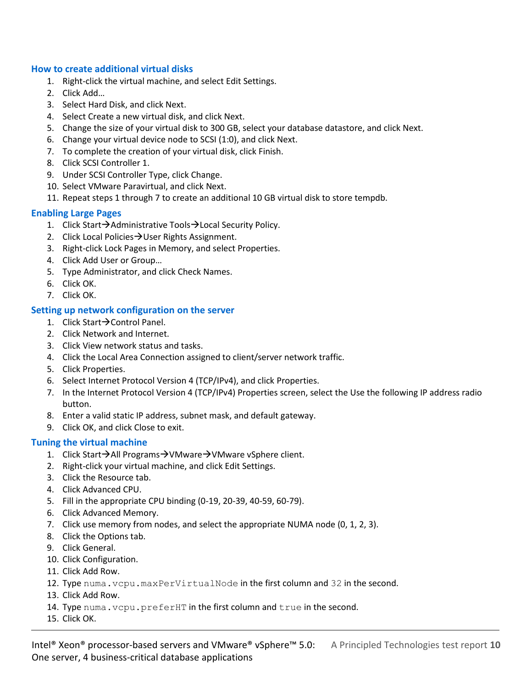#### **How to create additional virtual disks**

- 1. Right-click the virtual machine, and select Edit Settings.
- 2. Click Add…
- 3. Select Hard Disk, and click Next.
- 4. Select Create a new virtual disk, and click Next.
- 5. Change the size of your virtual disk to 300 GB, select your database datastore, and click Next.
- 6. Change your virtual device node to SCSI (1:0), and click Next.
- 7. To complete the creation of your virtual disk, click Finish.
- 8. Click SCSI Controller 1.
- 9. Under SCSI Controller Type, click Change.
- 10. Select VMware Paravirtual, and click Next.
- 11. Repeat steps 1 through 7 to create an additional 10 GB virtual disk to store tempdb.

#### **Enabling Large Pages**

- 1. Click Start $\rightarrow$ Administrative Tools $\rightarrow$ Local Security Policy.
- 2. Click Local Policies  $\rightarrow$  User Rights Assignment.
- 3. Right-click Lock Pages in Memory, and select Properties.
- 4. Click Add User or Group…
- 5. Type Administrator, and click Check Names.
- 6. Click OK.
- 7. Click OK.

#### **Setting up network configuration on the server**

- 1. Click Start $\rightarrow$  Control Panel.
- 2. Click Network and Internet.
- 3. Click View network status and tasks.
- 4. Click the Local Area Connection assigned to client/server network traffic.
- 5. Click Properties.
- 6. Select Internet Protocol Version 4 (TCP/IPv4), and click Properties.
- 7. In the Internet Protocol Version 4 (TCP/IPv4) Properties screen, select the Use the following IP address radio button.
- 8. Enter a valid static IP address, subnet mask, and default gateway.
- 9. Click OK, and click Close to exit.

#### **Tuning the virtual machine**

- 1. Click Start $\rightarrow$ All Programs $\rightarrow$ VMware $\rightarrow$ VMware vSphere client.
- 2. Right-click your virtual machine, and click Edit Settings.
- 3. Click the Resource tab.
- 4. Click Advanced CPU.
- 5. Fill in the appropriate CPU binding (0-19, 20-39, 40-59, 60-79).
- 6. Click Advanced Memory.
- 7. Click use memory from nodes, and select the appropriate NUMA node (0, 1, 2, 3).
- 8. Click the Options tab.
- 9. Click General.
- 10. Click Configuration.
- 11. Click Add Row.
- 12. Type numa.vcpu.maxPerVirtualNode in the first column and 32 in the second.
- 13. Click Add Row.
- 14. Type numa. vcpu.preferHT in the first column and true in the second.
- 15. Click OK.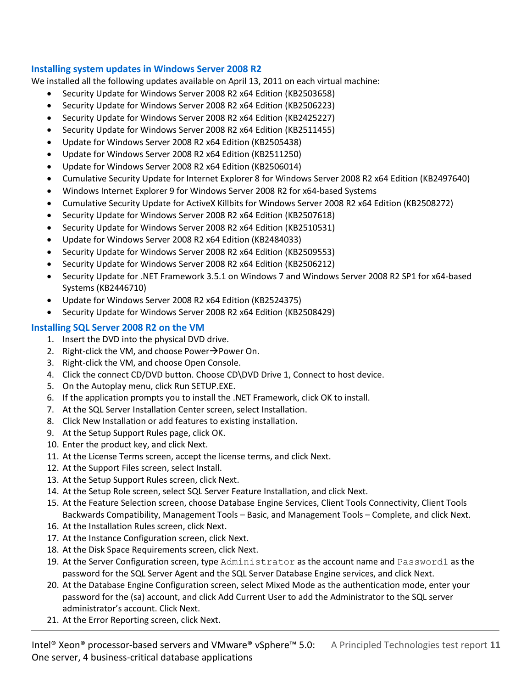#### **Installing system updates in Windows Server 2008 R2**

We installed all the following updates available on April 13, 2011 on each virtual machine:

- Security Update for Windows Server 2008 R2 x64 Edition (KB2503658)
- Security Update for Windows Server 2008 R2 x64 Edition (KB2506223)
- Security Update for Windows Server 2008 R2 x64 Edition (KB2425227)
- Security Update for Windows Server 2008 R2 x64 Edition (KB2511455)
- Update for Windows Server 2008 R2 x64 Edition (KB2505438)
- Update for Windows Server 2008 R2 x64 Edition (KB2511250)
- Update for Windows Server 2008 R2 x64 Edition (KB2506014)
- Cumulative Security Update for Internet Explorer 8 for Windows Server 2008 R2 x64 Edition (KB2497640)
- Windows Internet Explorer 9 for Windows Server 2008 R2 for x64-based Systems
- Cumulative Security Update for ActiveX Killbits for Windows Server 2008 R2 x64 Edition (KB2508272)
- Security Update for Windows Server 2008 R2 x64 Edition (KB2507618)
- Security Update for Windows Server 2008 R2 x64 Edition (KB2510531)
- Update for Windows Server 2008 R2 x64 Edition (KB2484033)
- Security Update for Windows Server 2008 R2 x64 Edition (KB2509553)
- Security Update for Windows Server 2008 R2 x64 Edition (KB2506212)
- Security Update for .NET Framework 3.5.1 on Windows 7 and Windows Server 2008 R2 SP1 for x64-based Systems (KB2446710)
- Update for Windows Server 2008 R2 x64 Edition (KB2524375)
- Security Update for Windows Server 2008 R2 x64 Edition (KB2508429)

#### **Installing SQL Server 2008 R2 on the VM**

- 1. Insert the DVD into the physical DVD drive.
- 2. Right-click the VM, and choose Power $\rightarrow$ Power On.
- 3. Right-click the VM, and choose Open Console.
- 4. Click the connect CD/DVD button. Choose CD\DVD Drive 1, Connect to host device.
- 5. On the Autoplay menu, click Run SETUP.EXE.
- 6. If the application prompts you to install the .NET Framework, click OK to install.
- 7. At the SQL Server Installation Center screen, select Installation.
- 8. Click New Installation or add features to existing installation.
- 9. At the Setup Support Rules page, click OK.
- 10. Enter the product key, and click Next.
- 11. At the License Terms screen, accept the license terms, and click Next.
- 12. At the Support Files screen, select Install.
- 13. At the Setup Support Rules screen, click Next.
- 14. At the Setup Role screen, select SQL Server Feature Installation, and click Next.
- 15. At the Feature Selection screen, choose Database Engine Services, Client Tools Connectivity, Client Tools Backwards Compatibility, Management Tools – Basic, and Management Tools – Complete, and click Next.
- 16. At the Installation Rules screen, click Next.
- 17. At the Instance Configuration screen, click Next.
- 18. At the Disk Space Requirements screen, click Next.
- 19. At the Server Configuration screen, type Administrator as the account name and Password1 as the password for the SQL Server Agent and the SQL Server Database Engine services, and click Next.
- 20. At the Database Engine Configuration screen, select Mixed Mode as the authentication mode, enter your password for the (sa) account, and click Add Current User to add the Administrator to the SQL server administrator's account. Click Next.
- 21. At the Error Reporting screen, click Next.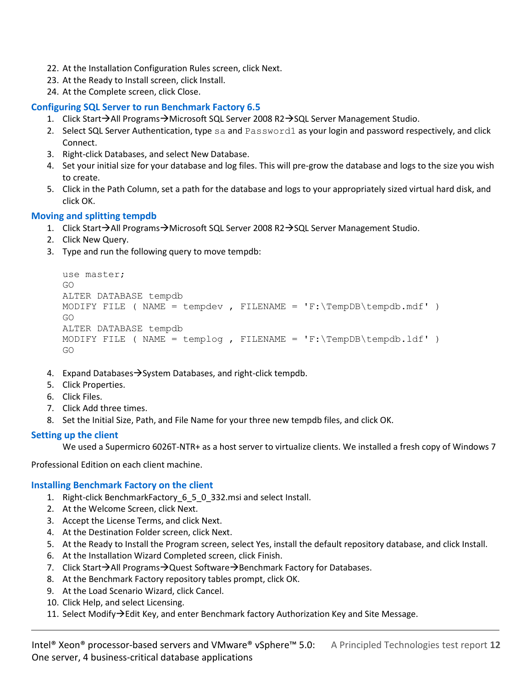- 22. At the Installation Configuration Rules screen, click Next.
- 23. At the Ready to Install screen, click Install.
- 24. At the Complete screen, click Close.

#### **Configuring SQL Server to run Benchmark Factory 6.5**

- 1. Click Start→All Programs→Microsoft SQL Server 2008 R2→SQL Server Management Studio.
- 2. Select SQL Server Authentication, type sa and Password1 as your login and password respectively, and click Connect.
- 3. Right-click Databases, and select New Database.
- 4. Set your initial size for your database and log files. This will pre-grow the database and logs to the size you wish to create.
- 5. Click in the Path Column, set a path for the database and logs to your appropriately sized virtual hard disk, and click OK.

#### **Moving and splitting tempdb**

- 1. Click Start $\rightarrow$ All Programs $\rightarrow$ Microsoft SQL Server 2008 R2 $\rightarrow$ SQL Server Management Studio.
- 2. Click New Query.
- 3. Type and run the following query to move tempdb:

```
use master;
GO
ALTER DATABASE tempdb 
MODIFY FILE ( NAME = tempdev , FILENAME = 'F:\TempDB\tempdb.mdf' )
GO
ALTER DATABASE tempdb 
MODIFY FILE ( NAME = templog , FILENAME = 'F:\TempDB\tempbb.1df' )
GO
```
- 4. Expand Databases  $\rightarrow$  System Databases, and right-click tempdb.
- 5. Click Properties.
- 6. Click Files.
- 7. Click Add three times.
- 8. Set the Initial Size, Path, and File Name for your three new tempdb files, and click OK.

#### **Setting up the client**

We used a Supermicro 6026T-NTR+ as a host server to virtualize clients. We installed a fresh copy of Windows 7

Professional Edition on each client machine.

#### **Installing Benchmark Factory on the client**

- 1. Right-click BenchmarkFactory\_6\_5\_0\_332.msi and select Install.
- 2. At the Welcome Screen, click Next.
- 3. Accept the License Terms, and click Next.
- 4. At the Destination Folder screen, click Next.
- 5. At the Ready to Install the Program screen, select Yes, install the default repository database, and click Install.
- 6. At the Installation Wizard Completed screen, click Finish.
- 7. Click Start $\rightarrow$ All Programs $\rightarrow$ Quest Software $\rightarrow$ Benchmark Factory for Databases.
- 8. At the Benchmark Factory repository tables prompt, click OK.
- 9. At the Load Scenario Wizard, click Cancel.
- 10. Click Help, and select Licensing.
- 11. Select Modify $\rightarrow$ Edit Key, and enter Benchmark factory Authorization Key and Site Message.

Intel® Xeon® processor-based servers and VMware® vSphere™ 5.0: A Principled Technologies test report **12** One server, 4 business-critical database applications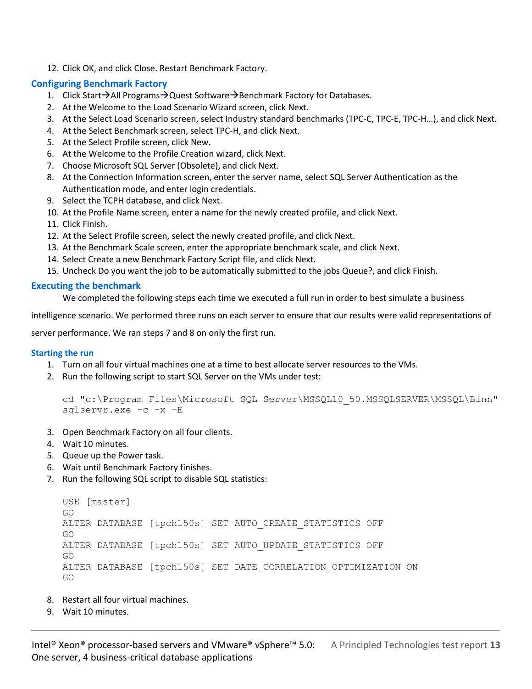12. Click OK, and click Close. Restart Benchmark Factory.

#### **Configuring Benchmark Factory**

- 1. Click Start→All Programs→Quest Software→Benchmark Factory for Databases.
- 2. At the Welcome to the Load Scenario Wizard screen, click Next.
- 3. At the Select Load Scenario screen, select Industry standard benchmarks (TPC-C, TPC-E, TPC-H…), and click Next.
- 4. At the Select Benchmark screen, select TPC-H, and click Next.
- 5. At the Select Profile screen, click New.
- 6. At the Welcome to the Profile Creation wizard, click Next.
- 7. Choose Microsoft SQL Server (Obsolete), and click Next.
- 8. At the Connection Information screen, enter the server name, select SQL Server Authentication as the Authentication mode, and enter login credentials.
- 9. Select the TCPH database, and click Next.
- 10. At the Profile Name screen, enter a name for the newly created profile, and click Next.
- 11. Click Finish.
- 12. At the Select Profile screen, select the newly created profile, and click Next.
- 13. At the Benchmark Scale screen, enter the appropriate benchmark scale, and click Next.
- 14. Select Create a new Benchmark Factory Script file, and click Next.
- 15. Uncheck Do you want the job to be automatically submitted to the jobs Queue?, and click Finish.

#### **Executing the benchmark**

We completed the following steps each time we executed a full run in order to best simulate a business

intelligence scenario. We performed three runs on each server to ensure that our results were valid representations of

server performance. We ran steps 7 and 8 on only the first run.

#### **Starting the run**

- 1. Turn on all four virtual machines one at a time to best allocate server resources to the VMs.
- 2. Run the following script to start SQL Server on the VMs under test:

```
cd "c:\Program Files\Microsoft SQL Server\MSSQL10_50.MSSQLSERVER\MSSQL\Binn" 
sqlservr.exe -c -x –E
```
- 3. Open Benchmark Factory on all four clients.
- 4. Wait 10 minutes.
- 5. Queue up the Power task.
- 6. Wait until Benchmark Factory finishes.
- 7. Run the following SQL script to disable SQL statistics:

```
USE [master]
GO
ALTER DATABASE [tpch150s] SET AUTO_CREATE_STATISTICS OFF
GO
ALTER DATABASE [tpch150s] SET AUTO UPDATE STATISTICS OFF
GO
ALTER DATABASE [tpch150s] SET DATE_CORRELATION_OPTIMIZATION ON
GO
```
- 8. Restart all four virtual machines.
- 9. Wait 10 minutes.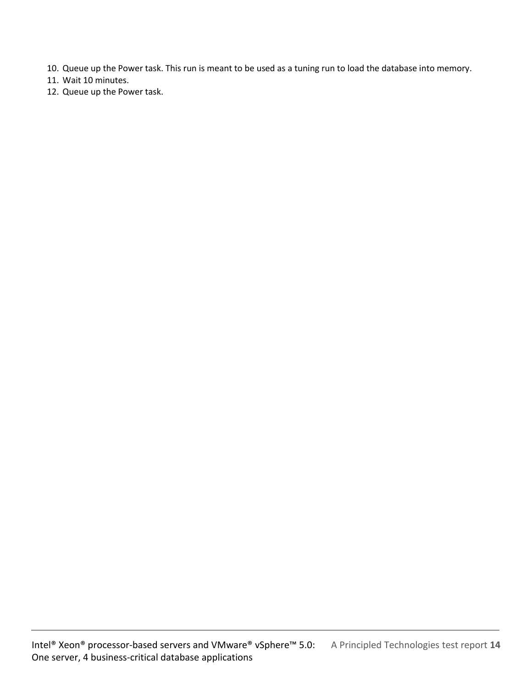- 10. Queue up the Power task. This run is meant to be used as a tuning run to load the database into memory.
- 11. Wait 10 minutes.
- 12. Queue up the Power task.